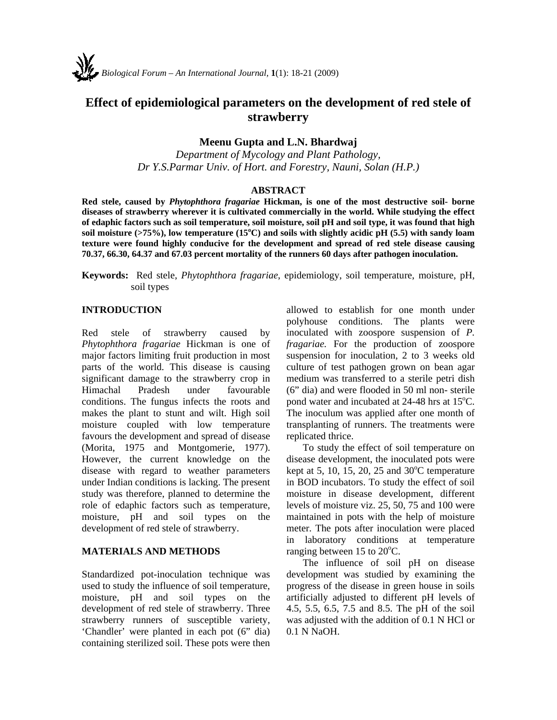# **Effect of epidemiological parameters on the development of red stele of strawberry**

# **Meenu Gupta and L.N. Bhardwaj**

*Department of Mycology and Plant Pathology, Dr Y.S.Parmar Univ. of Hort. and Forestry, Nauni, Solan (H.P.)* 

## **ABSTRACT**

**Red stele, caused by** *Phytophthora fragariae* **Hickman, is one of the most destructive soil- borne diseases of strawberry wherever it is cultivated commercially in the world. While studying the effect of edaphic factors such as soil temperature, soil moisture, soil pH and soil type, it was found that high soil moisture (>75%), low temperature (15<sup>o</sup> C) and soils with slightly acidic pH (5.5) with sandy loam texture were found highly conducive for the development and spread of red stele disease causing 70.37, 66.30, 64.37 and 67.03 percent mortality of the runners 60 days after pathogen inoculation.** 

**Keywords:** Red stele, *Phytophthora fragariae*, epidemiology, soil temperature, moisture, pH, soil types

### **INTRODUCTION**

Red stele of strawberry caused by *Phytophthora fragariae* Hickman is one of major factors limiting fruit production in most parts of the world. This disease is causing significant damage to the strawberry crop in Himachal Pradesh under favourable conditions. The fungus infects the roots and makes the plant to stunt and wilt. High soil moisture coupled with low temperature favours the development and spread of disease (Morita, 1975 and Montgomerie, 1977). However, the current knowledge on the disease with regard to weather parameters under Indian conditions is lacking. The present study was therefore, planned to determine the role of edaphic factors such as temperature, moisture, pH and soil types on the development of red stele of strawberry.

## **MATERIALS AND METHODS**

Standardized pot-inoculation technique was used to study the influence of soil temperature, moisture, pH and soil types on the development of red stele of strawberry. Three strawberry runners of susceptible variety, 'Chandler' were planted in each pot (6" dia) containing sterilized soil. These pots were then

allowed to establish for one month under polyhouse conditions. The plants were inoculated with zoospore suspension of *P. fragariae.* For the production of zoospore suspension for inoculation, 2 to 3 weeks old culture of test pathogen grown on bean agar medium was transferred to a sterile petri dish (6" dia) and were flooded in 50 ml non- sterile pond water and incubated at 24-48 hrs at 15°C. The inoculum was applied after one month of transplanting of runners. The treatments were replicated thrice.

To study the effect of soil temperature on disease development, the inoculated pots were kept at 5, 10,  $\overline{15}$ , 20, 25 and 30°C temperature in BOD incubators. To study the effect of soil moisture in disease development, different levels of moisture viz. 25, 50, 75 and 100 were maintained in pots with the help of moisture meter. The pots after inoculation were placed in laboratory conditions at temperature ranging between 15 to  $20^{\circ}$ C.

The influence of soil pH on disease development was studied by examining the progress of the disease in green house in soils artificially adjusted to different pH levels of 4.5, 5.5, 6.5, 7.5 and 8.5. The pH of the soil was adjusted with the addition of 0.1 N HCl or 0.1 N NaOH.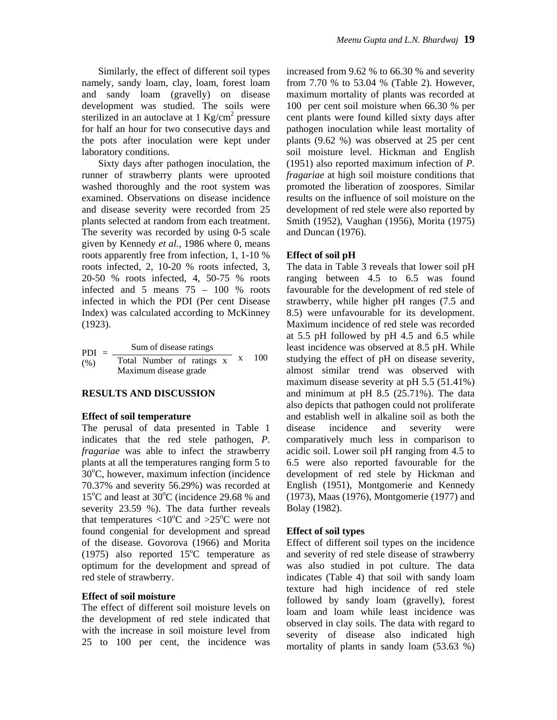Similarly, the effect of different soil types namely, sandy loam, clay, loam, forest loam and sandy loam (gravelly) on disease development was studied. The soils were sterilized in an autoclave at  $1 \text{ Kg/cm}^2$  pressure for half an hour for two consecutive days and the pots after inoculation were kept under laboratory conditions.

Sixty days after pathogen inoculation, the runner of strawberry plants were uprooted washed thoroughly and the root system was examined. Observations on disease incidence and disease severity were recorded from 25 plants selected at random from each treatment. The severity was recorded by using 0-5 scale given by Kennedy *et al.*, 1986 where 0, means roots apparently free from infection, 1, 1-10 % roots infected, 2, 10-20 % roots infected, 3, 20-50 % roots infected, 4, 50-75 % roots infected and 5 means 75 – 100 % roots infected in which the PDI (Per cent Disease Index) was calculated according to McKinney (1923).

 $PDI =$ (%) Sum of disease ratings Total Number of ratings  $\overline{x}$  x 100 Maximum disease grade

#### **RESULTS AND DISCUSSION**

#### **Effect of soil temperature**

The perusal of data presented in Table 1 indicates that the red stele pathogen, *P. fragariae* was able to infect the strawberry plants at all the temperatures ranging form 5 to 30°C, however, maximum infection (incidence 70.37% and severity 56.29%) was recorded at 15°C and least at 30°C (incidence 29.68 % and severity 23.59 %). The data further reveals that temperatures  $\langle 10^{\circ}$ C and  $>25^{\circ}$ C were not found congenial for development and spread of the disease. Govorova (1966) and Morita  $(1975)$  also reported  $15^{\circ}$ C temperature as optimum for the development and spread of red stele of strawberry.

## **Effect of soil moisture**

The effect of different soil moisture levels on the development of red stele indicated that with the increase in soil moisture level from 25 to 100 per cent, the incidence was

increased from 9.62 % to 66.30 % and severity from 7.70 % to 53.04 % (Table 2). However, maximum mortality of plants was recorded at 100 per cent soil moisture when 66.30 % per cent plants were found killed sixty days after pathogen inoculation while least mortality of plants (9.62 %) was observed at 25 per cent soil moisture level. Hickman and English (1951) also reported maximum infection of *P. fragariae* at high soil moisture conditions that promoted the liberation of zoospores. Similar results on the influence of soil moisture on the development of red stele were also reported by Smith (1952), Vaughan (1956), Morita (1975) and Duncan (1976).

## **Effect of soil pH**

The data in Table 3 reveals that lower soil pH ranging between 4.5 to 6.5 was found favourable for the development of red stele of strawberry, while higher pH ranges (7.5 and 8.5) were unfavourable for its development. Maximum incidence of red stele was recorded at 5.5 pH followed by pH 4.5 and 6.5 while least incidence was observed at 8.5 pH. While studying the effect of pH on disease severity, almost similar trend was observed with maximum disease severity at pH 5.5 (51.41%) and minimum at pH 8.5 (25.71%). The data also depicts that pathogen could not proliferate and establish well in alkaline soil as both the disease incidence and severity were comparatively much less in comparison to acidic soil. Lower soil pH ranging from 4.5 to 6.5 were also reported favourable for the development of red stele by Hickman and English (1951), Montgomerie and Kennedy (1973), Maas (1976), Montgomerie (1977) and Bolay (1982).

## **Effect of soil types**

Effect of different soil types on the incidence and severity of red stele disease of strawberry was also studied in pot culture. The data indicates (Table 4) that soil with sandy loam texture had high incidence of red stele followed by sandy loam (gravelly), forest loam and loam while least incidence was observed in clay soils. The data with regard to severity of disease also indicated high mortality of plants in sandy loam (53.63 %)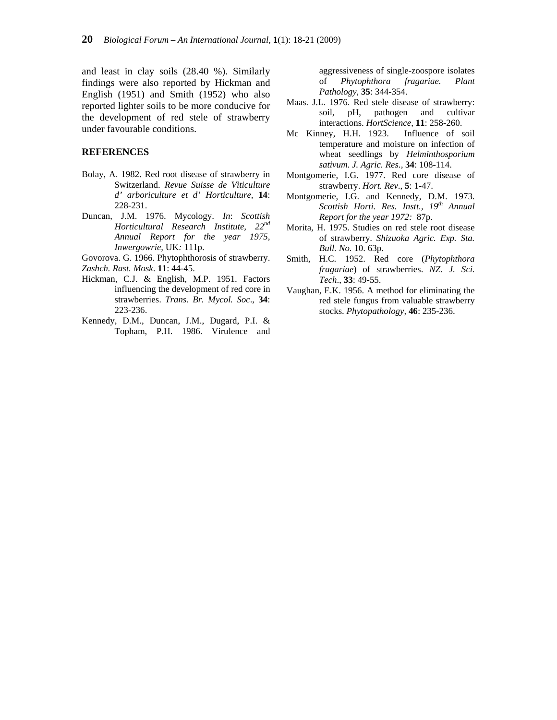and least in clay soils (28.40 %). Similarly findings were also reported by Hickman and English (1951) and Smith (1952) who also reported lighter soils to be more conducive for the development of red stele of strawberry under favourable conditions.

#### **REFERENCES**

- Bolay, A. 1982. Red root disease of strawberry in Switzerland. *Revue Suisse de Viticulture d' arboriculture et d' Horticulture,* **14**: 228-231.
- Duncan, J.M. 1976. Mycology. *In*: *Scottish Horticultural Research Institute, 22nd Annual Report for the year 1975, Inwergowrie,* UK*:* 111p.

Govorova. G. 1966. Phytophthorosis of strawberry.

- *Zashch. Rast. Mosk*. **11**: 44-45.
- Hickman, C.J. & English, M.P. 1951. Factors influencing the development of red core in strawberries. *Trans. Br. Mycol. Soc*., **34**: 223-236.
- Kennedy, D.M., Duncan, J.M., Dugard, P.I. & Topham, P.H. 1986. Virulence and

aggressiveness of single-zoospore isolates of *Phytophthora fragariae. Plant Pathology,* **35**: 344-354.

- Maas. J.L. 1976. Red stele disease of strawberry: soil, pH, pathogen and cultivar interactions. *HortScience,* **11**: 258-260.
- Mc Kinney, H.H. 1923. Influence of soil temperature and moisture on infection of wheat seedlings by *Helminthosporium sativum*. *J. Agric. Res.,* **34**: 108-114.
- Montgomerie, I.G. 1977. Red core disease of strawberry. *Hort. Rev*., **5**: 1-47.
- Montgomerie, I.G. and Kennedy, D.M. 1973. *Scottish Horti. Res. Instt., 19th Annual Report for the year 1972:* 87p.
- Morita, H. 1975. Studies on red stele root disease of strawberry. *Shizuoka Agric. Exp. Sta. Bull. No*. 10. 63p.
- Smith, H.C. 1952. Red core (*Phytophthora fragariae*) of strawberries. *NZ. J. Sci. Tech*., **33**: 49-55.
- Vaughan, E.K. 1956. A method for eliminating the red stele fungus from valuable strawberry stocks. *Phytopathology,* **46**: 235-236.